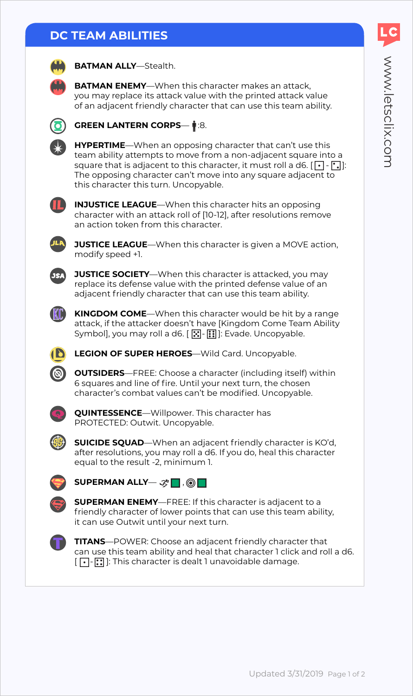# WWW.letsclix.com www.letsclix.com

### **DC TEAM ABILITIES**



**BATMAN ALLY**—Stealth.

**BATMAN ENEMY**—When this character makes an attack, you may replace its attack value with the printed attack value of an adjacent friendly character that can use this team ability.



**GREEN LANTERN CORPS—**  $\mathbf{1}$ **:8.** 

**HYPERTIME**—When an opposing character that can't use this team ability attempts to move from a non-adjacent square into a square that is adjacent to this character, it must roll a d6.  $[\cdot]$  -  $[\cdot]$ : The opposing character can't move into any square adjacent to this character this turn. Uncopyable.



**INJUSTICE LEAGUE**—When this character hits an opposing character with an attack roll of [10-12], after resolutions remove an action token from this character.



**JUSTICE LEAGUE**—When this character is given a MOVE action, modify speed +1.



**JUSTICE SOCIETY**—When this character is attacked, you may replace its defense value with the printed defense value of an adjacent friendly character that can use this team ability.



**KINGDOM COME**—When this character would be hit by a range attack, if the attacker doesn't have [Kingdom Come Team Ability Symbol], you may roll a d6.  $[\overline{X}]$  -  $[\overline{\mathbf{:}}]$  Evade. Uncopyable.



**LEGION OF SUPER HEROES**—Wild Card. Uncopyable.

**OUTSIDERS**—FREE: Choose a character (including itself) within 6 squares and line of fire. Until your next turn, the chosen character's combat values can't be modified. Uncopyable.



**QUINTESSENCE**—Willpower. This character has PROTECTED: Outwit. Uncopyable.



**SUICIDE SQUAD**—When an adjacent friendly character is KO'd, after resolutions, you may roll a d6. If you do, heal this character equal to the result -2, minimum 1.



**SUPERMAN ALLY**— ,



**SUPERMAN ENEMY**—FREE: If this character is adjacent to a friendly character of lower points that can use this team ability, it can use Outwit until your next turn.



**TITANS**—POWER: Choose an adjacent friendly character that can use this team ability and heal that character 1 click and roll a d6.  $[$   $\lceil \cdot \rceil$ - $\lceil \cdot \rceil$ ]: This character is dealt 1 unavoidable damage.